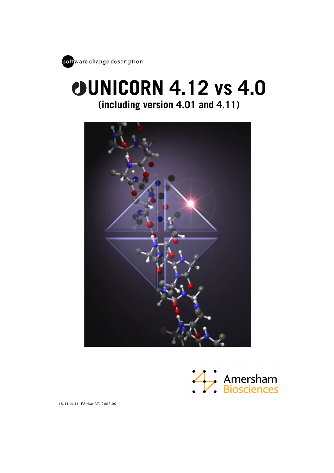

# **UNICORN 4.12 vs 4.0 (including version 4.01 and 4.11)**



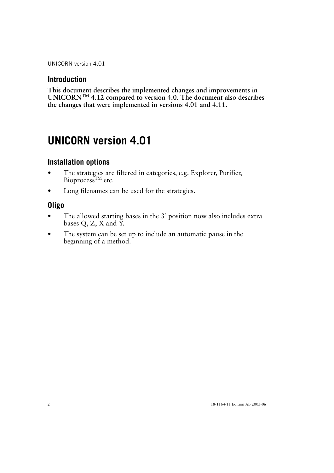## **Introduction**

**This document describes the implemented changes and improvements in UNICORNTM 4.12 compared to version 4.0. The document also describes the changes that were implemented in versions 4.01 and 4.11.**

## **UNICORN version 4.01**

## **Installation options**

- The strategies are filtered in categories, e.g. Explorer, Purifier, Bioprocess<sup>TM</sup> etc.
- Long filenames can be used for the strategies.

## **Oligo**

- The allowed starting bases in the 3' position now also includes extra bases  $Q$ ,  $Z$ ,  $X$  and  $\overline{Y}$ .
- The system can be set up to include an automatic pause in the beginning of a method.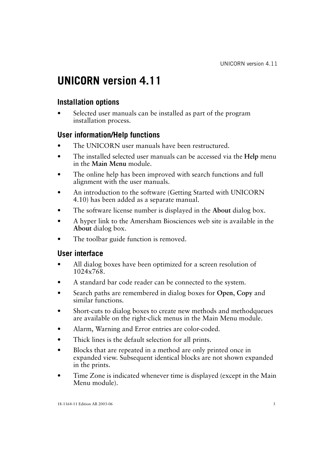## **UNICORN version 4.11**

## **Installation options**

Selected user manuals can be installed as part of the program installation process.

## **User information/Help functions**

- The UNICORN user manuals have been restructured.
- The installed selected user manuals can be accessed via the **Help** menu in the **Main Menu** module.
- The online help has been improved with search functions and full alignment with the user manuals.
- An introduction to the software (Getting Started with UNICORN 4.10) has been added as a separate manual.
- The software license number is displayed in the **About** dialog box.
- A hyper link to the Amersham Biosciences web site is available in the **About** dialog box.
- The toolbar guide function is removed.

## **User interface**

- All dialog boxes have been optimized for a screen resolution of 1024x768.
- A standard bar code reader can be connected to the system.
- Search paths are remembered in dialog boxes for **Open**, **Copy** and similar functions.
- Short-cuts to dialog boxes to create new methods and methodqueues are available on the right-click menus in the Main Menu module.
- Alarm, Warning and Error entries are color-coded.
- Thick lines is the default selection for all prints.
- Blocks that are repeated in a method are only printed once in expanded view. Subsequent identical blocks are not shown expanded in the prints.
- Time Zone is indicated whenever time is displayed (except in the Main Menu module).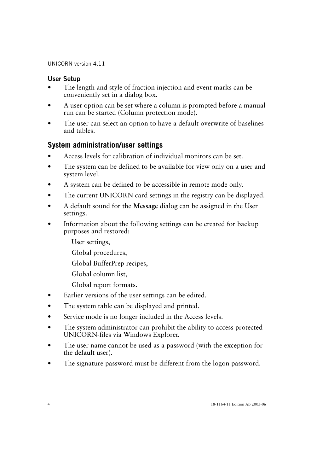#### **User Setup**

- The length and style of fraction injection and event marks can be conveniently set in a dialog box.
- A user option can be set where a column is prompted before a manual run can be started (Column protection mode).
- The user can select an option to have a default overwrite of baselines and tables.

## **System administration/user settings**

- Access levels for calibration of individual monitors can be set.
- The system can be defined to be available for view only on a user and system level.
- A system can be defined to be accessible in remote mode only.
- The current UNICORN card settings in the registry can be displayed.
- A default sound for the **Message** dialog can be assigned in the User settings.
- Information about the following settings can be created for backup purposes and restored:
	- User settings,
	- Global procedures,
	- Global BufferPrep recipes,
	- Global column list,
	- Global report formats.
- Earlier versions of the user settings can be edited.
- The system table can be displayed and printed.
- Service mode is no longer included in the Access levels.
- The system administrator can prohibit the ability to access protected UNICORN-files via Windows Explorer.
- The user name cannot be used as a password (with the exception for the **default** user).
- The signature password must be different from the logon password.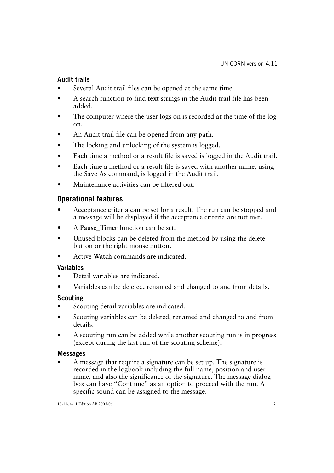### **Audit trails**

- Several Audit trail files can be opened at the same time.
- A search function to find text strings in the Audit trail file has been added.
- The computer where the user logs on is recorded at the time of the log on.
- An Audit trail file can be opened from any path.
- The locking and unlocking of the system is logged.
- Each time a method or a result file is saved is logged in the Audit trail.
- Each time a method or a result file is saved with another name, using the Save As command, is logged in the Audit trail.
- Maintenance activities can be filtered out.

## **Operational features**

- Acceptance criteria can be set for a result. The run can be stopped and a message will be displayed if the acceptance criteria are not met.
- A **Pause** Timer function can be set.
- Unused blocks can be deleted from the method by using the delete button or the right mouse button.
- Active **Watch** commands are indicated.

#### **Variables**

- Detail variables are indicated.
- Variables can be deleted, renamed and changed to and from details.

#### **Scouting**

- Scouting detail variables are indicated.
- Scouting variables can be deleted, renamed and changed to and from details.
- A scouting run can be added while another scouting run is in progress (except during the last run of the scouting scheme).

#### **Messages**

• A message that require a signature can be set up. The signature is recorded in the logbook including the full name, position and user name, and also the significance of the signature. The message dialog box can have "Continue" as an option to proceed with the run. A specific sound can be assigned to the message.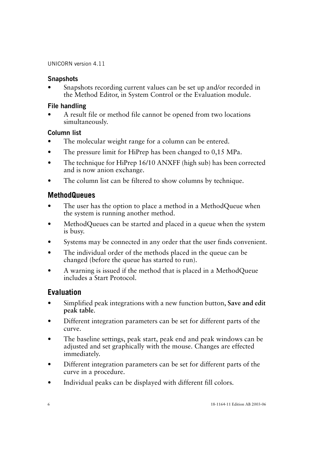#### **Snapshots**

• Snapshots recording current values can be set up and/or recorded in the Method Editor, in System Control or the Evaluation module.

#### **File handling**

• A result file or method file cannot be opened from two locations simultaneously.

#### **Column list**

- The molecular weight range for a column can be entered.
- The pressure limit for HiPrep has been changed to 0,15 MPa.
- The technique for HiPrep 16/10 ANXFF (high sub) has been corrected and is now anion exchange.
- The column list can be filtered to show columns by technique.

## **MethodQueues**

- The user has the option to place a method in a MethodQueue when the system is running another method.
- MethodQueues can be started and placed in a queue when the system is busy.
- Systems may be connected in any order that the user finds convenient.
- The individual order of the methods placed in the queue can be changed (before the queue has started to run).
- A warning is issued if the method that is placed in a MethodQueue includes a Start Protocol.

## **Evaluation**

- Simplified peak integrations with a new function button, **Save and edit peak table**.
- Different integration parameters can be set for different parts of the curve.
- The baseline settings, peak start, peak end and peak windows can be adjusted and set graphically with the mouse. Changes are effected immediately.
- Different integration parameters can be set for different parts of the curve in a procedure.
- Individual peaks can be displayed with different fill colors.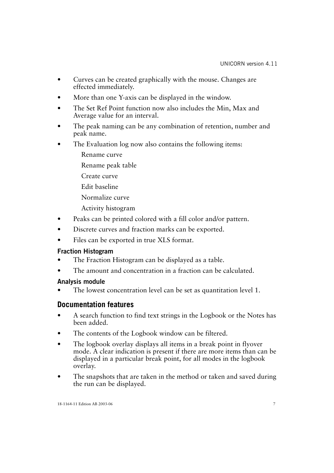- Curves can be created graphically with the mouse. Changes are effected immediately.
- More than one Y-axis can be displayed in the window.
- The Set Ref Point function now also includes the Min, Max and Average value for an interval.
- The peak naming can be any combination of retention, number and peak name.
- The Evaluation log now also contains the following items:
	- Rename curve
	- Rename peak table
	- Create curve
	- Edit baseline
	- Normalize curve
	- Activity histogram
- Peaks can be printed colored with a fill color and/or pattern.
- Discrete curves and fraction marks can be exported.
- Files can be exported in true XLS format.

#### **Fraction Histogram**

- The Fraction Histogram can be displayed as a table.
- The amount and concentration in a fraction can be calculated.

#### **Analysis module**

The lowest concentration level can be set as quantitation level 1.

#### **Documentation features**

- A search function to find text strings in the Logbook or the Notes has been added.
- The contents of the Logbook window can be filtered.
- The logbook overlay displays all items in a break point in flyover mode. A clear indication is present if there are more items than can be displayed in a particular break point, for all modes in the logbook overlay.
- The snapshots that are taken in the method or taken and saved during the run can be displayed.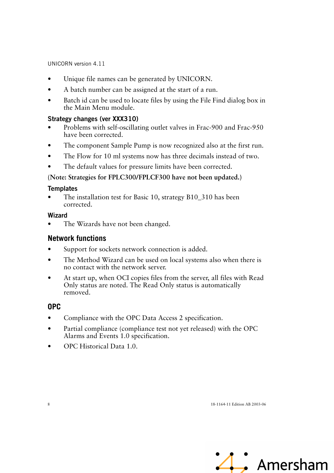- Unique file names can be generated by UNICORN.
- A batch number can be assigned at the start of a run.
- Batch id can be used to locate files by using the File Find dialog box in the Main Menu module.

#### **Strategy changes (ver XXX310)**

- Problems with self-oscillating outlet valves in Frac-900 and Frac-950 have been corrected.
- The component Sample Pump is now recognized also at the first run.
- The Flow for 10 ml systems now has three decimals instead of two.
- The default values for pressure limits have been corrected.

#### **(Note: Strategies for FPLC300/FPLCF300 have not been updated.)**

#### **Templates**

The installation test for Basic 10, strategy B10\_310 has been corrected.

#### **Wizard**

The Wizards have not been changed.

#### **Network functions**

- Support for sockets network connection is added.
- The Method Wizard can be used on local systems also when there is no contact with the network server.
- At start up, when OCI copies files from the server, all files with Read Only status are noted. The Read Only status is automatically removed.

## **OPC**

- Compliance with the OPC Data Access 2 specification.
- Partial compliance (compliance test not yet released) with the OPC Alarms and Events 1.0 specification.
- OPC Historical Data 1.0.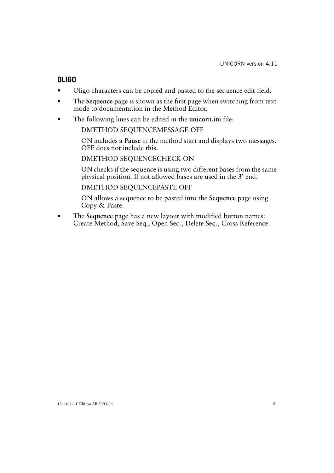## **OLIGO**

- Oligo characters can be copied and pasted to the sequence edit field.
- The **Sequence** page is shown as the first page when switching from text mode to documentation in the Method Editor.
- The following lines can be edited in the **unicorn.ini** file:

DMETHOD SEQUENCEMESSAGE OFF

ON includes a **Pause** in the method start and displays two messages. OFF does not include this.

DMETHOD SEQUENCECHECK ON

ON checks if the sequence is using two different bases from the same physical position. If not allowed bases are used in the 3' end.

DMETHOD SEQUENCEPASTE OFF

ON allows a sequence to be pasted into the **Sequence** page using Copy & Paste.

• The **Sequence** page has a new layout with modified button names: Create Method, Save Seq., Open Seq., Delete Seq., Cross Reference.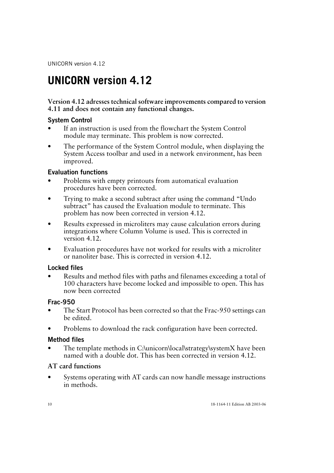## **UNICORN version 4.12**

#### **Version 4.12 adresses technical software improvements compared to version 4.11 and does not contain any functional changes.**

#### **System Control**

- If an instruction is used from the flowchart the System Control module may terminate. This problem is now corrected.
- The performance of the System Control module, when displaying the System Access toolbar and used in a network environment, has been improved.

#### **Evaluation functions**

- Problems with empty printouts from automatical evaluation procedures have been corrected.
- Trying to make a second subtract after using the command "Undo subtract" has caused the Evaluation module to terminate. This problem has now been corrected in version 4.12.
- Results expressed in microliters may cause calculation errors during integrations where Column Volume is used. This is corrected in version 4.12.
- Evaluation procedures have not worked for results with a microliter or nanoliter base. This is corrected in version 4.12.

#### **Locked files**

• Results and method files with paths and filenames exceeding a total of 100 characters have become locked and impossible to open. This has now been corrected

#### **Frac-950**

- The Start Protocol has been corrected so that the Frac-950 settings can be edited.
- Problems to download the rack configuration have been corrected.

#### **Method files**

• The template methods in C:\unicorn\local\strategy\systemX have been named with a double dot. This has been corrected in version 4.12.

#### **AT card functions**

• Systems operating with AT cards can now handle message instructions in methods.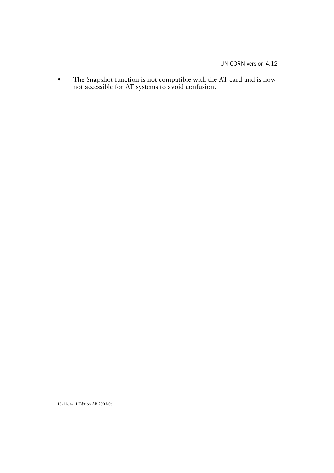• The Snapshot function is not compatible with the AT card and is now not accessible for AT systems to avoid confusion.